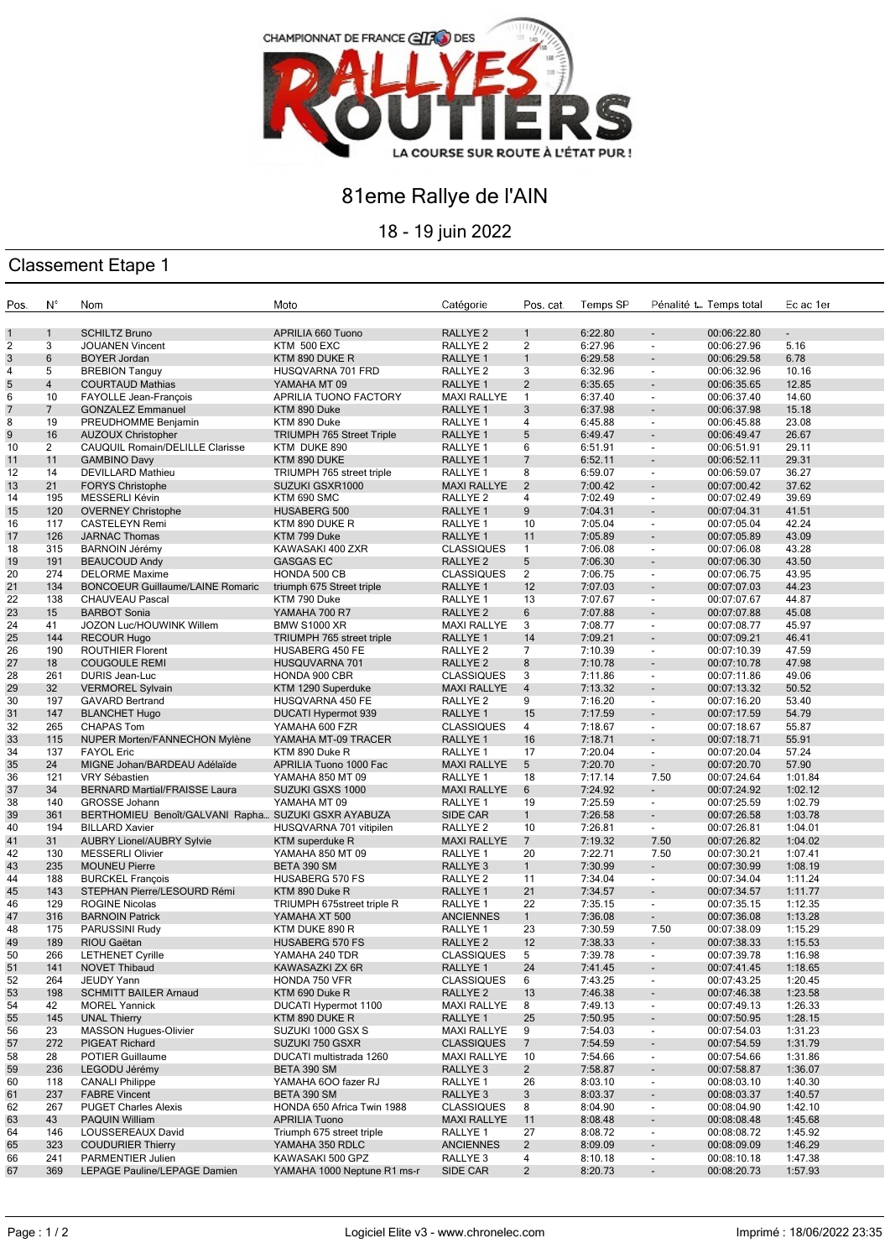

## 81eme Rallye de l'AIN

18 - 19 juin 2022

## Classement Etape 1

| Pos.         | N°                      | Nom                                                 | Moto                                         | Catégorie                                  | Pos. cat.           | Temps SP           |                                                      | Pénalité t Temps total     | Ec ac 1er          |
|--------------|-------------------------|-----------------------------------------------------|----------------------------------------------|--------------------------------------------|---------------------|--------------------|------------------------------------------------------|----------------------------|--------------------|
|              |                         |                                                     |                                              |                                            |                     |                    |                                                      |                            |                    |
| $\mathbf{1}$ | $\mathbf{1}$            | <b>SCHILTZ Bruno</b>                                | APRILIA 660 Tuono                            | RALLYE <sub>2</sub>                        | $\mathbf{1}$        | 6:22.80            | $\overline{\phantom{a}}$                             | 00:06:22.80                |                    |
| 2            | 3                       | <b>JOUANEN Vincent</b>                              | <b>KTM 500 EXC</b>                           | RALLYE <sub>2</sub>                        | $\overline{2}$      | 6:27.96            | $\overline{\phantom{a}}$                             | 00:06:27.96                | 5.16               |
| 3            | 6                       | <b>BOYER Jordan</b>                                 | KTM 890 DUKE R                               | RALLYE 1                                   | $\mathbf{1}$        | 6:29.58            | $\overline{a}$                                       | 00:06:29.58                | 6.78               |
| 4            | 5                       | <b>BREBION Tanguy</b>                               | HUSQVARNA 701 FRD                            | RALLYE <sub>2</sub>                        | 3                   | 6:32.96            | $\blacksquare$                                       | 00:06:32.96                | 10.16              |
| 5            | $\overline{\mathbf{4}}$ | <b>COURTAUD Mathias</b>                             | YAMAHA MT 09                                 | RALLYE <sub>1</sub>                        | $\overline{2}$      | 6:35.65            | $\overline{\phantom{a}}$                             | 00:06:35.65                | 12.85              |
| 6            | 10                      | FAYOLLE Jean-François                               | APRILIA TUONO FACTORY                        | <b>MAXI RALLYE</b>                         | $\mathbf{1}$        | 6:37.40            | $\blacksquare$                                       | 00:06:37.40                | 14.60              |
| 7            | 7                       | <b>GONZALEZ Emmanuel</b>                            | KTM 890 Duke                                 | RALLYE <sub>1</sub>                        | 3                   | 6:37.98            | $\overline{\phantom{a}}$                             | 00:06:37.98                | 15.18              |
| 8            | 19                      | PREUDHOMME Benjamin                                 | KTM 890 Duke                                 | RALLYE <sub>1</sub>                        | 4                   | 6:45.88            | $\overline{\phantom{a}}$                             | 00:06:45.88                | 23.08              |
| 9            | 16                      | <b>AUZOUX Christopher</b>                           | <b>TRIUMPH 765 Street Triple</b>             | RALLYE <sub>1</sub>                        | 5                   | 6:49.47            | $\overline{\phantom{a}}$                             | 00:06:49.47                | 26.67              |
| 10           | $\overline{2}$          | CAUQUIL Romain/DELILLE Clarisse                     | KTM DUKE 890                                 | RALLYE <sub>1</sub>                        | 6                   | 6:51.91            | $\overline{\phantom{a}}$                             | 00:06:51.91                | 29.11              |
| 11           | 11                      | <b>GAMBINO Davy</b>                                 | KTM 890 DUKE                                 | RALLYE <sub>1</sub>                        | 7                   | 6:52.11            | $\overline{\phantom{a}}$                             | 00:06:52.11                | 29.31              |
| 12           | 14<br>21                | <b>DEVILLARD Mathieu</b>                            | TRIUMPH 765 street triple                    | RALLYE <sub>1</sub>                        | 8<br>$\overline{2}$ | 6:59.07            | $\overline{\phantom{a}}$                             | 00:06:59.07                | 36.27<br>37.62     |
| 13<br>14     | 195                     | <b>FORYS Christophe</b><br>MESSERLI Kévin           | SUZUKI GSXR1000<br>KTM 690 SMC               | <b>MAXI RALLYE</b><br>RALLYE <sub>2</sub>  | 4                   | 7:00.42<br>7:02.49 |                                                      | 00:07:00.42<br>00:07:02.49 | 39.69              |
| 15           | 120                     | <b>OVERNEY Christophe</b>                           |                                              | RALLYE 1                                   | 9                   | 7:04.31            | $\overline{\phantom{a}}$<br>$\blacksquare$           |                            | 41.51              |
| 16           | 117                     | <b>CASTELEYN Remi</b>                               | HUSABERG 500<br>KTM 890 DUKE R               | RALLYE <sub>1</sub>                        | 10                  | 7:05.04            | $\blacksquare$                                       | 00:07:04.31<br>00:07:05.04 | 42.24              |
| 17           | 126                     | <b>JARNAC Thomas</b>                                | KTM 799 Duke                                 | RALLYE <sub>1</sub>                        | 11                  | 7:05.89            | $\overline{\phantom{a}}$                             | 00:07:05.89                | 43.09              |
| 18           | 315                     | <b>BARNOIN Jérémy</b>                               | KAWASAKI 400 ZXR                             | <b>CLASSIQUES</b>                          | $\mathbf{1}$        | 7:06.08            | $\blacksquare$                                       | 00:07:06.08                | 43.28              |
| 19           | 191                     | <b>BEAUCOUD Andy</b>                                | <b>GASGAS EC</b>                             | RALLYE <sub>2</sub>                        | 5                   | 7:06.30            | $\overline{\phantom{a}}$                             | 00:07:06.30                | 43.50              |
| 20           | 274                     | <b>DELORME Maxime</b>                               | HONDA 500 CB                                 | <b>CLASSIQUES</b>                          | 2                   | 7:06.75            | $\overline{\phantom{a}}$                             | 00:07:06.75                | 43.95              |
| 21           | 134                     | <b>BONCOEUR Guillaume/LAINE Romaric</b>             | triumph 675 Street triple                    | RALLYE <sub>1</sub>                        | 12                  | 7:07.03            | $\overline{a}$                                       | 00:07:07.03                | 44.23              |
| 22           | 138                     | <b>CHAUVEAU Pascal</b>                              | KTM 790 Duke                                 | RALLYE <sub>1</sub>                        | 13                  | 7:07.67            | $\overline{\phantom{a}}$                             | 00:07:07.67                | 44.87              |
| 23           | 15                      | <b>BARBOT Sonia</b>                                 | YAMAHA 700 R7                                | RALLYE <sub>2</sub>                        | 6                   | 7:07.88            | $\overline{\phantom{a}}$                             | 00:07:07.88                | 45.08              |
| 24           | 41                      | JOZON Luc/HOUWINK Willem                            | <b>BMW S1000 XR</b>                          | <b>MAXI RALLYE</b>                         | 3                   | 7:08.77            | $\overline{\phantom{a}}$                             | 00:07:08.77                | 45.97              |
| 25           | 144                     | <b>RECOUR Hugo</b>                                  | TRIUMPH 765 street triple                    | RALLYE <sub>1</sub>                        | 14                  | 7:09.21            | $\overline{a}$                                       | 00:07:09.21                | 46.41              |
| 26           | 190                     | <b>ROUTHIER Florent</b>                             | HUSABERG 450 FE                              | RALLYE <sub>2</sub>                        | $\overline{7}$      | 7:10.39            | $\overline{\phantom{a}}$                             | 00:07:10.39                | 47.59              |
| 27           | 18                      | <b>COUGOULE REMI</b>                                | HUSQUVARNA 701                               | RALLYE <sub>2</sub>                        | 8                   | 7:10.78            | $\blacksquare$                                       | 00:07:10.78                | 47.98              |
| 28           | 261                     | DURIS Jean-Luc                                      | HONDA 900 CBR                                | <b>CLASSIQUES</b>                          | 3                   | 7:11.86            | $\overline{\phantom{a}}$                             | 00:07:11.86                | 49.06              |
| 29           | 32                      | <b>VERMOREL Sylvain</b>                             | KTM 1290 Superduke                           | <b>MAXI RALLYE</b>                         | $\overline{4}$      | 7:13.32            | $\overline{\phantom{a}}$                             | 00:07:13.32                | 50.52              |
| 30           | 197                     | <b>GAVARD Bertrand</b>                              | HUSQVARNA 450 FE                             | RALLYE <sub>2</sub>                        | 9                   | 7:16.20            | $\overline{\phantom{a}}$                             | 00:07:16.20                | 53.40              |
| 31           | 147                     | <b>BLANCHET Hugo</b>                                | DUCATI Hypermot 939                          | RALLYE 1                                   | 15                  | 7:17.59            | $\overline{\phantom{a}}$                             | 00:07:17.59                | 54.79              |
| 32           | 265                     | <b>CHAPAS Tom</b>                                   | YAMAHA 600 FZR                               | <b>CLASSIQUES</b>                          | 4                   | 7:18.67            | $\overline{\phantom{a}}$                             | 00:07:18.67                | 55.87              |
| 33           | 115                     | NUPER Morten/FANNECHON Mylène                       | YAMAHA MT-09 TRACER                          | RALLYE <sub>1</sub>                        | 16                  | 7:18.71            | $\blacksquare$                                       | 00:07:18.71                | 55.91              |
| 34           | 137                     | <b>FAYOL Eric</b>                                   | KTM 890 Duke R                               | RALLYE <sub>1</sub>                        | 17                  | 7:20.04            | $\overline{\phantom{a}}$                             | 00:07:20.04                | 57.24              |
| 35           | 24                      | MIGNE Johan/BARDEAU Adélaïde                        | APRILIA Tuono 1000 Fac                       | <b>MAXI RALLYE</b>                         | 5                   | 7:20.70            | $\overline{\phantom{a}}$                             | 00:07:20.70                | 57.90              |
| 36           | 121                     | VRY Sébastien                                       | YAMAHA 850 MT 09                             | RALLYE <sub>1</sub>                        | 18                  | 7:17.14            | 7.50                                                 | 00:07:24.64                | 1:01.84            |
| 37           | 34                      | <b>BERNARD Martial/FRAISSE Laura</b>                | SUZUKI GSXS 1000                             | <b>MAXI RALLYE</b>                         | 6                   | 7:24.92            | $\overline{\phantom{a}}$                             | 00:07:24.92                | 1:02.12            |
| 38           | 140                     | <b>GROSSE Johann</b>                                | YAMAHA MT 09                                 | RALLYE <sub>1</sub>                        | 19                  | 7:25.59            | $\sim$                                               | 00:07:25.59                | 1:02.79            |
| 39           | 361                     | BERTHOMIEU Benoît/GALVANI Rapha SUZUKI GSXR AYABUZA |                                              | SIDE CAR                                   | $\mathbf{1}$        | 7:26.58            | $\sim$                                               | 00:07:26.58                | 1:03.78            |
| 40           | 194                     | <b>BILLARD Xavier</b>                               | HUSQVARNA 701 vitipilen                      | RALLYE <sub>2</sub>                        | 10                  | 7:26.81            | $\sim$                                               | 00:07:26.81                | 1:04.01            |
| 41           | 31                      | <b>AUBRY Lionel/AUBRY Sylvie</b>                    | <b>KTM</b> superduke R                       | <b>MAXI RALLYE</b>                         | $\overline{7}$      | 7:19.32<br>7:22.71 | 7.50<br>7.50                                         | 00:07:26.82                | 1:04.02            |
| 42<br>43     | 130<br>235              | <b>MESSERLI Olivier</b><br><b>MOUNEU Pierre</b>     | YAMAHA 850 MT 09<br>BETA 390 SM              | RALLYE <sub>1</sub><br>RALLYE <sub>3</sub> | 20<br>$\mathbf{1}$  | 7:30.99            | $\sim$                                               | 00:07:30.21<br>00:07:30.99 | 1:07.41<br>1:08.19 |
| 44           | 188                     | <b>BURCKEL François</b>                             | HUSABERG 570 FS                              | RALLYE <sub>2</sub>                        | 11                  | 7:34.04            | $\overline{\phantom{a}}$                             | 00:07:34.04                | 1:11.24            |
| 45           | 143                     | STEPHAN Pierre/LESOURD Rémi                         | KTM 890 Duke R                               | RALLYE <sub>1</sub>                        | 21                  | 7:34.57            | $\blacksquare$                                       | 00:07:34.57                | 1:11.77            |
| 46           | 129                     | <b>ROGINE Nicolas</b>                               | TRIUMPH 675street triple R                   | RALLYE <sub>1</sub>                        | 22                  | 7:35.15            | $\blacksquare$                                       | 00:07:35.15                | 1:12.35            |
| 47           | 316                     | <b>BARNOIN Patrick</b>                              | YAMAHA XT 500                                | <b>ANCIENNES</b>                           | $\mathbf{1}$        | 7:36.08            | $\blacksquare$                                       | 00:07:36.08                | 1:13.28            |
| 48           | 175                     | PARUSSINI Rudy                                      | KTM DUKE 890 R                               | RALLYE <sub>1</sub>                        | 23                  | 7:30.59            | 7.50                                                 | 00:07:38.09                | 1:15.29            |
| 49           | 189                     | RIOU Gaëtan                                         | <b>HUSABERG 570 FS</b>                       | RALLYE <sub>2</sub>                        | 12                  | 7:38.33            | $\overline{\phantom{a}}$                             | 00:07:38.33                | 1:15.53            |
| 50           | 266                     | <b>LETHENET Cyrille</b>                             | YAMAHA 240 TDR                               | <b>CLASSIQUES</b>                          | 5                   | 7:39.78            | $\blacksquare$                                       | 00:07:39.78                | 1:16.98            |
| 51           | 141                     | <b>NOVET Thibaud</b>                                | KAWASAZKI ZX 6R                              | RALLYE <sub>1</sub>                        | 24                  | 7:41.45            |                                                      | 00:07:41.45                | 1:18.65            |
| 52           | 264                     | JEUDY Yann                                          | HONDA 750 VFR                                | <b>CLASSIQUES</b>                          | 6                   | 7:43.25            | $\overline{\phantom{a}}$                             | 00:07:43.25                | 1:20.45            |
| 53           | 198                     | <b>SCHMITT BAILER Arnaud</b>                        | KTM 690 Duke R                               | RALLYE <sub>2</sub>                        | 13                  | 7:46.38            | $\overline{\phantom{a}}$                             | 00:07:46.38                | 1:23.58            |
| 54           | 42                      | <b>MOREL Yannick</b>                                | DUCATI Hypermot 1100                         | <b>MAXI RALLYE</b>                         | 8                   | 7:49.13            | $\overline{\phantom{a}}$                             | 00:07:49.13                | 1:26.33            |
| 55           | 145                     | <b>UNAL Thierry</b>                                 | KTM 890 DUKE R                               | RALLYE 1                                   | 25                  | 7:50.95            | $\blacksquare$                                       | 00:07:50.95                | 1:28.15            |
| 56           | 23                      | <b>MASSON Hugues-Olivier</b>                        | SUZUKI 1000 GSX S                            | <b>MAXI RALLYE</b>                         | 9                   | 7:54.03            | $\overline{\phantom{a}}$                             | 00:07:54.03                | 1:31.23            |
| 57           | 272                     | <b>PIGEAT Richard</b>                               | SUZUKI 750 GSXR                              | <b>CLASSIQUES</b>                          | $\overline{7}$      | 7:54.59            | $\blacksquare$                                       | 00:07:54.59                | 1:31.79            |
| 58           | 28                      | POTIER Guillaume                                    | DUCATI multistrada 1260                      | <b>MAXI RALLYE</b>                         | 10                  | 7:54.66            | $\overline{\phantom{a}}$                             | 00:07:54.66                | 1:31.86            |
| 59           | 236                     | LEGODU Jérémy                                       | BETA 390 SM                                  | RALLYE 3                                   | $\overline{2}$      | 7:58.87            | $\overline{\phantom{a}}$                             | 00:07:58.87                | 1:36.07            |
| 60           | 118                     | <b>CANALI Philippe</b>                              | YAMAHA 6OO fazer RJ                          | RALLYE <sub>1</sub>                        | 26                  | 8:03.10            | $\overline{\phantom{a}}$                             | 00:08:03.10                | 1:40.30            |
| 61           | 237                     | <b>FABRE Vincent</b>                                | BETA 390 SM                                  | RALLYE <sub>3</sub>                        | 3                   | 8:03.37            | $\overline{\phantom{a}}$                             | 00:08:03.37                | 1:40.57            |
| 62           | 267                     | <b>PUGET Charles Alexis</b>                         | HONDA 650 Africa Twin 1988                   | <b>CLASSIQUES</b>                          | 8                   | 8:04.90            | $\overline{\phantom{a}}$                             | 00:08:04.90                | 1:42.10            |
| 63           | 43                      | <b>PAQUIN William</b>                               | <b>APRILIA Tuono</b>                         | <b>MAXI RALLYE</b>                         | 11                  | 8:08.48            | $\overline{\phantom{a}}$                             | 00:08:08.48                | 1:45.68            |
| 64           | 146                     | LOUSSEREAUX David                                   | Triumph 675 street triple<br>YAMAHA 350 RDLC | RALLYE 1                                   | 27                  | 8:08.72            | $\overline{\phantom{a}}$                             | 00:08:08.72                | 1:45.92            |
| 65<br>66     | 323<br>241              | <b>COUDURIER Thierry</b><br>PARMENTIER Julien       | KAWASAKI 500 GPZ                             | <b>ANCIENNES</b><br>RALLYE 3               | $\overline{2}$<br>4 | 8:09.09<br>8:10.18 | $\overline{\phantom{a}}$<br>$\overline{\phantom{a}}$ | 00:08:09.09<br>00:08:10.18 | 1:46.29<br>1:47.38 |
| 67           | 369                     | LEPAGE Pauline/LEPAGE Damien                        | YAMAHA 1000 Neptune R1 ms-r                  | SIDE CAR                                   | $\overline{2}$      | 8:20.73            | $\blacksquare$                                       | 00:08:20.73                | 1:57.93            |
|              |                         |                                                     |                                              |                                            |                     |                    |                                                      |                            |                    |